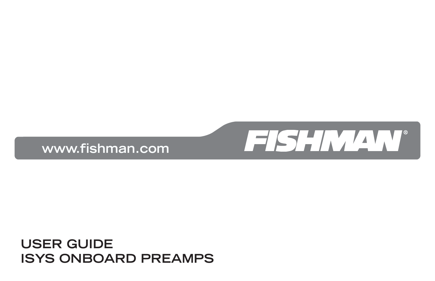#### **USER GUIDE ISYS ONBOARD PREAMPS**



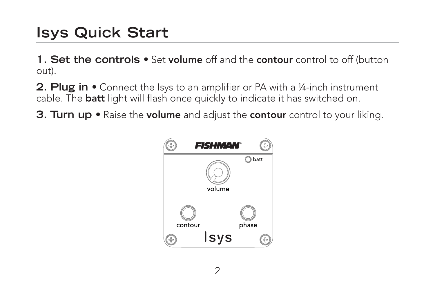### **Isys Quick Start**

1. Set the controls  $\bullet$  Set volume off and the contour control to off (button out).

**2. Plug in •** Connect the Isys to an amplifier or PA with a ¼-inch instrument cable. The **batt** light will flash once quickly to indicate it has switched on.

**3. Turn up •** Raise the **volume** and adjust the **contour** control to your liking.

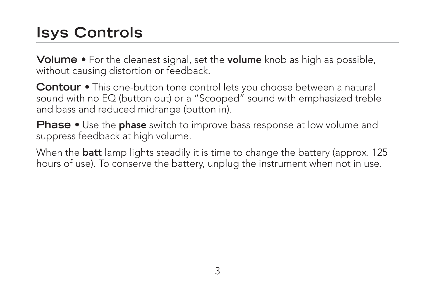## **Isys Controls**

**Volume •** For the cleanest signal, set the **volume** knob as high as possible, without causing distortion or feedback.

**Contour •** This one-button tone control lets you choose between a natural sound with no EQ (button out) or a "Scooped" sound with emphasized treble and bass and reduced midrange (button in).

**Phase •** Use the **phase** switch to improve bass response at low volume and suppress feedback at high volume.

When the **batt** lamp lights steadily it is time to change the battery (approx. 125 hours of use). To conserve the battery, unplug the instrument when not in use.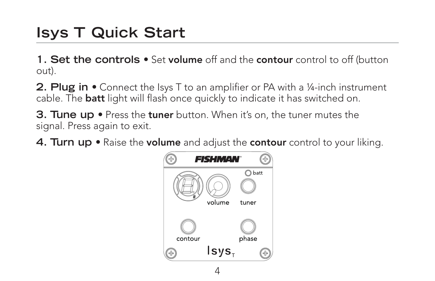#### **Isys T Quick Start**

1. Set the controls  $\bullet$  Set volume off and the contour control to off (button out).

**2. Plug in •** Connect the Isys T to an amplifier or PA with a 1/4-inch instrument cable. The **batt** light will flash once quickly to indicate it has switched on.

**3. Tune up •** Press the **tuner** button. When it's on, the tuner mutes the signal. Press again to exit.

**4. Turn up •** Raise the **volume** and adjust the **contour** control to your liking.

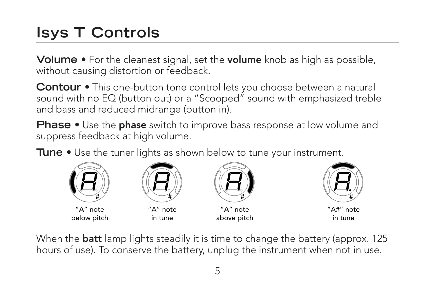# **Isys T Controls**

**Volume •** For the cleanest signal, set the **volume** knob as high as possible, without causing distortion or feedback.

**Contour •** This one-button tone control lets you choose between a natural sound with no EQ (button out) or a "Scooped" sound with emphasized treble and bass and reduced midrange (button in).

**Phase •** Use the **phase** switch to improve bass response at low volume and suppress feedback at high volume.

**Tune •** Use the tuner lights as shown below to tune your instrument.



When the **batt** lamp lights steadily it is time to change the battery (approx. 125 hours of use). To conserve the battery, unplug the instrument when not in use.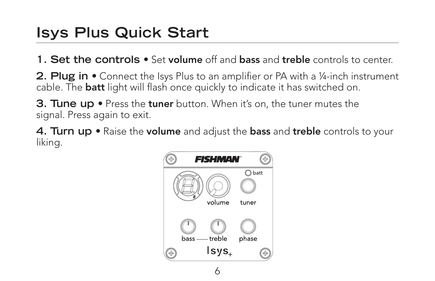#### **Isys Plus Quick Start**

**1. Set the controls •** Set **volume** off and **bass** and **treble** controls to center.

**2. Plug in •** Connect the Isys Plus to an amplifier or PA with a 1/4-inch instrument cable. The **batt** light will flash once quickly to indicate it has switched on.

**3. Tune up •** Press the **tuner** button. When it's on, the tuner mutes the signal. Press again to exit.

**4. Turn up •** Raise the **volume** and adjust the **bass** and **treble** controls to your liking.

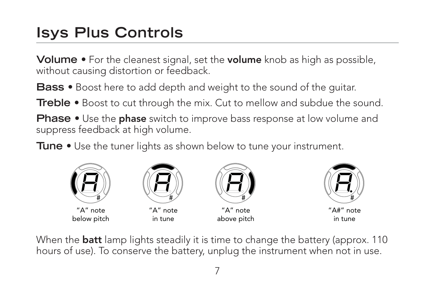### **Isys Plus Controls**

**Volume •** For the cleanest signal, set the **volume** knob as high as possible, without causing distortion or feedback.

**Bass •** Boost here to add depth and weight to the sound of the guitar.

**Treble •** Boost to cut through the mix. Cut to mellow and subdue the sound.

**Phase •** Use the **phase** switch to improve bass response at low volume and suppress feedback at high volume.

**Tune •** Use the tuner lights as shown below to tune your instrument.



When the **batt** lamp lights steadily it is time to change the battery (approx. 110 hours of use). To conserve the battery, unplug the instrument when not in use.